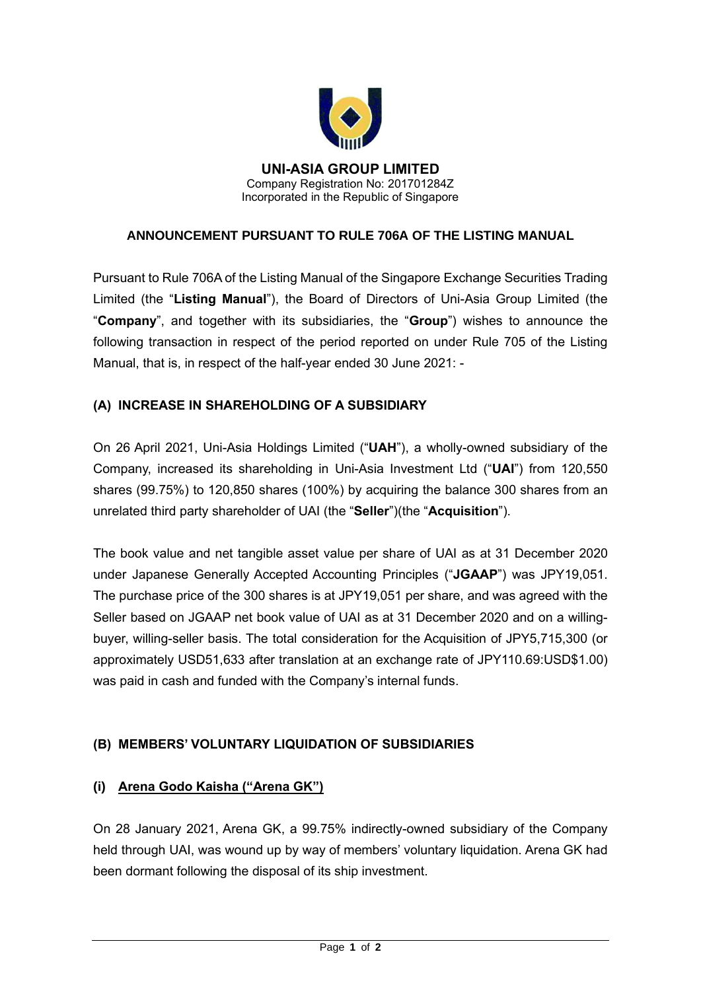

**UNI-ASIA GROUP LIMITED** Company Registration No: 201701284Z Incorporated in the Republic of Singapore

### **ANNOUNCEMENT PURSUANT TO RULE 706A OF THE LISTING MANUAL**

Pursuant to Rule 706A of the Listing Manual of the Singapore Exchange Securities Trading Limited (the "**Listing Manual**"), the Board of Directors of Uni-Asia Group Limited (the "**Company**", and together with its subsidiaries, the "**Group**") wishes to announce the following transaction in respect of the period reported on under Rule 705 of the Listing Manual, that is, in respect of the half-year ended 30 June 2021: -

### **(A) INCREASE IN SHAREHOLDING OF A SUBSIDIARY**

On 26 April 2021, Uni-Asia Holdings Limited ("**UAH**"), a wholly-owned subsidiary of the Company, increased its shareholding in Uni-Asia Investment Ltd ("**UAI**") from 120,550 shares (99.75%) to 120,850 shares (100%) by acquiring the balance 300 shares from an unrelated third party shareholder of UAI (the "**Seller**")(the "**Acquisition**").

The book value and net tangible asset value per share of UAI as at 31 December 2020 under Japanese Generally Accepted Accounting Principles ("**JGAAP**") was JPY19,051. The purchase price of the 300 shares is at JPY19,051 per share, and was agreed with the Seller based on JGAAP net book value of UAI as at 31 December 2020 and on a willingbuyer, willing-seller basis. The total consideration for the Acquisition of JPY5,715,300 (or approximately USD51,633 after translation at an exchange rate of JPY110.69:USD\$1.00) was paid in cash and funded with the Company's internal funds.

#### **(B) MEMBERS' VOLUNTARY LIQUIDATION OF SUBSIDIARIES**

#### **(i) Arena Godo Kaisha ("Arena GK")**

On 28 January 2021, Arena GK, a 99.75% indirectly-owned subsidiary of the Company held through UAI, was wound up by way of members' voluntary liquidation. Arena GK had been dormant following the disposal of its ship investment.